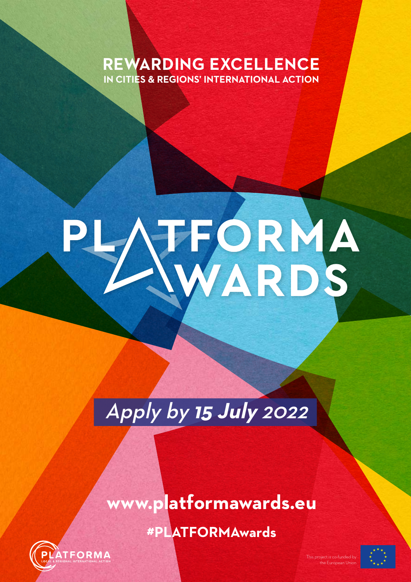## **REWARDING EXCELLENCE IN CITIES & REGIONS' INTERNATIONAL ACTION**

# TFORMA

# Apply by **15 July** 2022

## **#PLATFORMAwards www.platformawards.eu**



This project is co-funded by the European Union

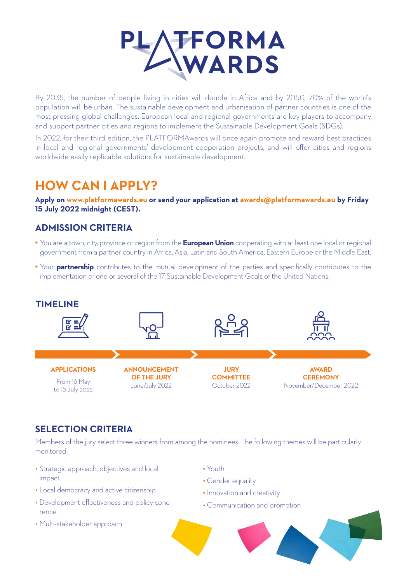

By 2035, the number of people living in cities will double in Africa and by 2050, 70% of the world's population will be urban. The sustainable development and urbanisation of partner countries is one of the most pressing global challenges. European local and regional governments are key players to accompany and support partner cities and regions to implement the Sustainable Development Goals (SDGs).

In 2022, for their third edition, the PLATFORMAwards will once again promote and reward best practices in local and regional governments' development cooperation projects, and will offer cities and regions worldwide easily replicable solutions for sustainable development.

## **HOW CAN I APPLY?**

**Apply on www.platformawards.eu or send your application at awards@platformawards.eu by Friday 15 July 2022 midnight (CEST).**

#### **ADMISSION CRITERIA**

- You are a town, city, province or region from the **European Union** cooperating with at least one local or regional government from a partner country in Africa, Asia, Latin and South America, Eastern Europe or the Middle East.
- Your **partnership** contributes to the mutual development of the parties and specifically contributes to the implementation of one or several of the 17 Sustainable Development Goals of the United Nations.



#### **SELECTION CRITERIA**

Members of the jury select three winners from among the nominees. The following themes will be particularly monitored:

- Strategic approach, objectives and local impact
- Local democracy and active citizenship
- Development effectiveness and policy coherence
- Multi-stakeholder approach
- Youth
- Gender equality
- Innovation and creativity
- Communication and promotion

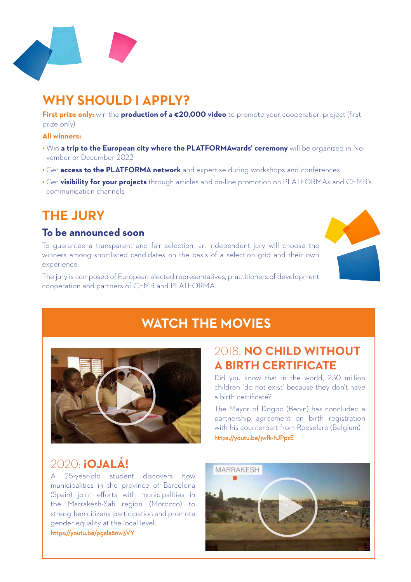

## **WHY SHOULD I APPLY?**

**First prize only:** win the **production of a €20,000 video** to promote your cooperation project (first prize only)

#### **All winners:**

- Win **a trip to the European city where the PLATFORMAwards' ceremony** will be organised in November or December 2022
- Get **access to the PLATFORMA network** and expertise during workshops and conferences
- Get **visibility for your projects** through articles and on-line promotion on PLATFORMA's and CEMR's communication channels

## **THE JURY**

#### **To be announced soon**

To guarantee a transparent and fair selection, an independent jury will choose the winners among shortlisted candidates on the basis of a selection grid and their own experience.

The jury is composed of European elected representatives, practitioners of development cooperation and partners of CEMR and PLATFORMA.



## **WATCH THE MOVIES**



## 2020: **¡OJALÁ!**

A 25-year-old student discovers how municipalities in the province of Barcelona (Spain) joint efforts with municipalities in the Marrakesh-Safi region (Morocco) to strengthen citizens' participation and promote gender equality at the local level. https://youtu.be/pgala8nw3VY

### 2018: **NO CHILD WITHOUT A BIRTH CERTIFICATE**

Did you know that in the world, 230 million children "do not exist" because they don't have a birth certificate?

The Mayor of Dogbo (Benin) has concluded a partnership agreement on birth registration with his counterpart from Roeselare (Belgium). https://youtu.be/jwfk-hJPpzE